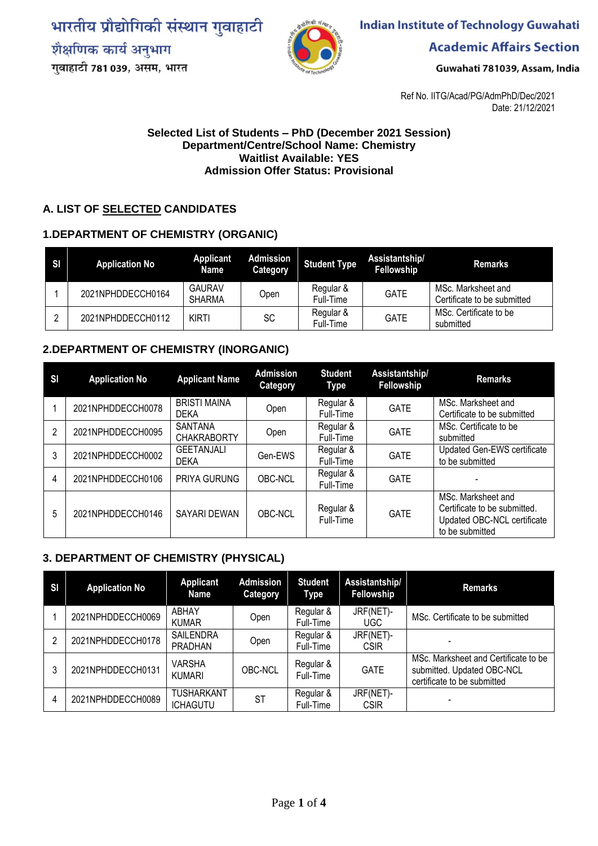भारतीय प्रौद्योगिकी संस्थान गुवाहाटी शैक्षणिक कार्य अनुभाग गुवाहाटी 781 039, असम, भारत



**Indian Institute of Technology Guwahati** 

**Academic Affairs Section** 

Guwahati 781039, Assam, India

Ref No. IITG/Acad/PG/AdmPhD/Dec/2021 Date: 21/12/2021

#### **Selected List of Students – PhD (December 2021 Session) Department/Centre/School Name: Chemistry Waitlist Available: YES Admission Offer Status: Provisional**

#### **A. LIST OF SELECTED CANDIDATES**

#### **1.DEPARTMENT OF CHEMISTRY (ORGANIC)**

| SI | <b>Application No</b> | Applicant<br><b>Name</b>       | Admission<br>Category | <b>Student Type</b>    | Assistantship/<br>Fellowship | <b>Remarks</b>                                    |
|----|-----------------------|--------------------------------|-----------------------|------------------------|------------------------------|---------------------------------------------------|
|    | 2021NPHDDECCH0164     | <b>GAURAV</b><br><b>SHARMA</b> | Open                  | Regular &<br>Full-Time | <b>GATE</b>                  | MSc. Marksheet and<br>Certificate to be submitted |
|    | 2021NPHDDECCH0112     | KIRTI                          | SC                    | Regular &<br>Full-Time | <b>GATE</b>                  | MSc. Certificate to be<br>submitted               |

#### **2.DEPARTMENT OF CHEMISTRY (INORGANIC)**

| SI | <b>Application No</b> | <b>Applicant Name</b>                | <b>Admission</b><br>Category | <b>Student</b><br><b>Type</b> | Assistantship/<br>Fellowship | <b>Remarks</b>                                                                                       |
|----|-----------------------|--------------------------------------|------------------------------|-------------------------------|------------------------------|------------------------------------------------------------------------------------------------------|
|    | 2021NPHDDECCH0078     | <b>BRISTI MAINA</b><br><b>DEKA</b>   | Open                         | Regular &<br>Full-Time        | <b>GATE</b>                  | MSc. Marksheet and<br>Certificate to be submitted                                                    |
| 2  | 2021NPHDDECCH0095     | <b>SANTANA</b><br><b>CHAKRABORTY</b> | Open                         | Regular &<br>Full-Time        | <b>GATE</b>                  | MSc. Certificate to be<br>submitted                                                                  |
| 3  | 2021NPHDDECCH0002     | <b>GEETANJALI</b><br><b>DEKA</b>     | Gen-EWS                      | Regular &<br>Full-Time        | <b>GATE</b>                  | Updated Gen-EWS certificate<br>to be submitted                                                       |
| 4  | 2021NPHDDECCH0106     | PRIYA GURUNG                         | OBC-NCL                      | Regular &<br>Full-Time        | <b>GATE</b>                  |                                                                                                      |
| 5  | 2021NPHDDECCH0146     | SAYARI DEWAN                         | OBC-NCL                      | Regular &<br>Full-Time        | <b>GATE</b>                  | MSc. Marksheet and<br>Certificate to be submitted.<br>Updated OBC-NCL certificate<br>to be submitted |

#### **3. DEPARTMENT OF CHEMISTRY (PHYSICAL)**

| <b>SI</b> | <b>Application No</b> | <b>Applicant</b><br>Name             | <b>Admission</b><br>Category | <b>Student</b><br>Type | Assistantship/<br>Fellowship | <b>Remarks</b>                                                                                    |
|-----------|-----------------------|--------------------------------------|------------------------------|------------------------|------------------------------|---------------------------------------------------------------------------------------------------|
|           | 2021NPHDDECCH0069     | ABHAY<br><b>KUMAR</b>                | Open                         | Regular &<br>Full-Time | JRF(NET)-<br>UGC.            | MSc. Certificate to be submitted                                                                  |
| 2         | 2021NPHDDECCH0178     | <b>SAILENDRA</b><br><b>PRADHAN</b>   | Open                         | Regular &<br>Full-Time | JRF(NET)-<br><b>CSIR</b>     |                                                                                                   |
| 3         | 2021NPHDDECCH0131     | <b>VARSHA</b><br><b>KUMARI</b>       | OBC-NCL                      | Regular &<br>Full-Time | <b>GATE</b>                  | MSc. Marksheet and Certificate to be<br>submitted. Updated OBC-NCL<br>certificate to be submitted |
| 4         | 2021NPHDDECCH0089     | <b>TUSHARKANT</b><br><b>ICHAGUTU</b> | <b>ST</b>                    | Regular &<br>Full-Time | JRF(NET)-<br><b>CSIR</b>     |                                                                                                   |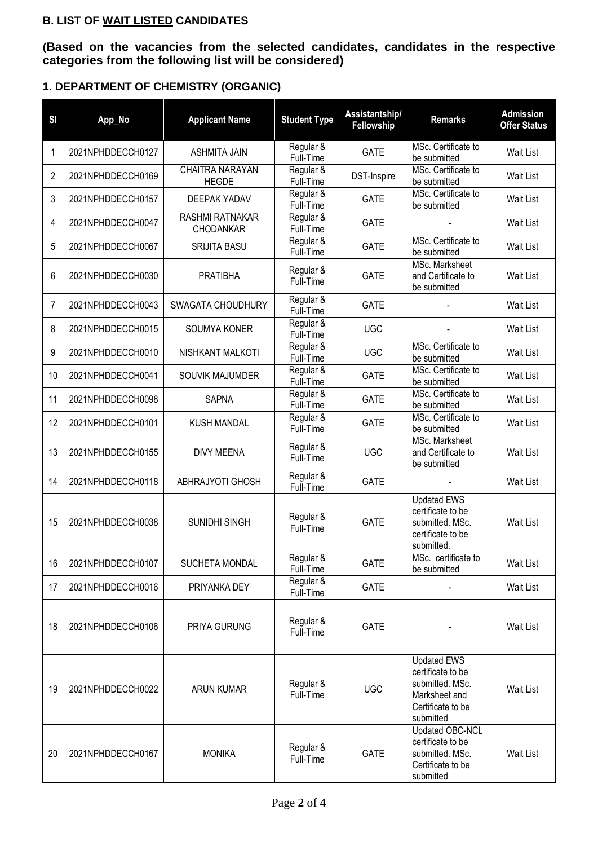### **B. LIST OF WAIT LISTED CANDIDATES**

**(Based on the vacancies from the selected candidates, candidates in the respective categories from the following list will be considered)**

### **1. DEPARTMENT OF CHEMISTRY (ORGANIC)**

| SI | App_No            | <b>Applicant Name</b>                      | <b>Student Type</b>    | Assistantship/<br>Fellowship | <b>Remarks</b>                                                                                                | <b>Admission</b><br><b>Offer Status</b> |
|----|-------------------|--------------------------------------------|------------------------|------------------------------|---------------------------------------------------------------------------------------------------------------|-----------------------------------------|
| 1  | 2021NPHDDECCH0127 | <b>ASHMITA JAIN</b>                        | Regular &<br>Full-Time | <b>GATE</b>                  | MSc. Certificate to<br>be submitted                                                                           | Wait List                               |
| 2  | 2021NPHDDECCH0169 | CHAITRA NARAYAN<br><b>HEGDE</b>            | Regular &<br>Full-Time | DST-Inspire                  | MSc. Certificate to<br>be submitted                                                                           | Wait List                               |
| 3  | 2021NPHDDECCH0157 | <b>DEEPAK YADAV</b>                        | Regular &<br>Full-Time | <b>GATE</b>                  | MSc. Certificate to<br>be submitted                                                                           | <b>Wait List</b>                        |
| 4  | 2021NPHDDECCH0047 | <b>RASHMI RATNAKAR</b><br><b>CHODANKAR</b> | Regular &<br>Full-Time | <b>GATE</b>                  |                                                                                                               | Wait List                               |
| 5  | 2021NPHDDECCH0067 | <b>SRIJITA BASU</b>                        | Regular &<br>Full-Time | <b>GATE</b>                  | MSc. Certificate to<br>be submitted                                                                           | Wait List                               |
| 6  | 2021NPHDDECCH0030 | <b>PRATIBHA</b>                            | Regular &<br>Full-Time | <b>GATE</b>                  | MSc. Marksheet<br>and Certificate to<br>be submitted                                                          | Wait List                               |
| 7  | 2021NPHDDECCH0043 | SWAGATA CHOUDHURY                          | Regular &<br>Full-Time | <b>GATE</b>                  |                                                                                                               | <b>Wait List</b>                        |
| 8  | 2021NPHDDECCH0015 | SOUMYA KONER                               | Regular &<br>Full-Time | <b>UGC</b>                   |                                                                                                               | Wait List                               |
| 9  | 2021NPHDDECCH0010 | NISHKANT MALKOTI                           | Regular &<br>Full-Time | <b>UGC</b>                   | MSc. Certificate to<br>be submitted                                                                           | Wait List                               |
| 10 | 2021NPHDDECCH0041 | SOUVIK MAJUMDER                            | Regular &<br>Full-Time | <b>GATE</b>                  | MSc. Certificate to<br>be submitted                                                                           | Wait List                               |
| 11 | 2021NPHDDECCH0098 | <b>SAPNA</b>                               | Regular &<br>Full-Time | <b>GATE</b>                  | MSc. Certificate to<br>be submitted                                                                           | <b>Wait List</b>                        |
| 12 | 2021NPHDDECCH0101 | <b>KUSH MANDAL</b>                         | Regular &<br>Full-Time | <b>GATE</b>                  | MSc. Certificate to<br>be submitted                                                                           | <b>Wait List</b>                        |
| 13 | 2021NPHDDECCH0155 | <b>DIVY MEENA</b>                          | Regular &<br>Full-Time | <b>UGC</b>                   | MSc. Marksheet<br>and Certificate to<br>be submitted                                                          | Wait List                               |
| 14 | 2021NPHDDECCH0118 | ABHRAJYOTI GHOSH                           | Regular &<br>Full-Time | <b>GATE</b>                  |                                                                                                               | Wait List                               |
| 15 | 2021NPHDDECCH0038 | SUNIDHI SINGH                              | Regular &<br>Full-Time | <b>GATE</b>                  | <b>Updated EWS</b><br>certificate to be<br>submitted. MSc.<br>certificate to be<br>submitted.                 | <b>Wait List</b>                        |
| 16 | 2021NPHDDECCH0107 | SUCHETA MONDAL                             | Regular &<br>Full-Time | <b>GATE</b>                  | MSc. certificate to<br>be submitted                                                                           | Wait List                               |
| 17 | 2021NPHDDECCH0016 | PRIYANKA DEY                               | Regular &<br>Full-Time | <b>GATE</b>                  |                                                                                                               | Wait List                               |
| 18 | 2021NPHDDECCH0106 | PRIYA GURUNG                               | Regular &<br>Full-Time | <b>GATE</b>                  |                                                                                                               | Wait List                               |
| 19 | 2021NPHDDECCH0022 | <b>ARUN KUMAR</b>                          | Regular &<br>Full-Time | <b>UGC</b>                   | <b>Updated EWS</b><br>certificate to be<br>submitted. MSc.<br>Marksheet and<br>Certificate to be<br>submitted | Wait List                               |
| 20 | 2021NPHDDECCH0167 | <b>MONIKA</b>                              | Regular &<br>Full-Time | <b>GATE</b>                  | Updated OBC-NCL<br>certificate to be<br>submitted. MSc.<br>Certificate to be<br>submitted                     | Wait List                               |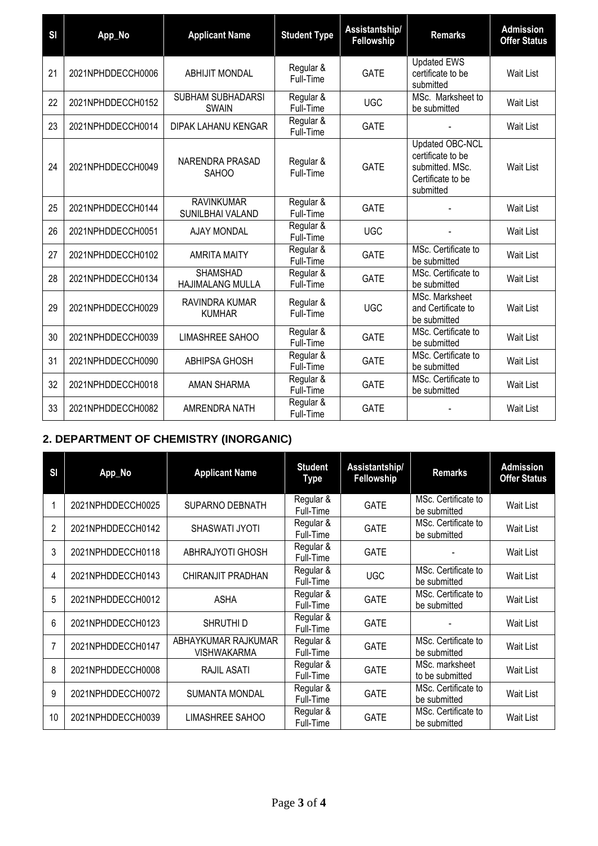| SI | App_No            | <b>Applicant Name</b>                      | <b>Student Type</b>    | Assistantship/<br>Fellowship | <b>Remarks</b>                                                                            | <b>Admission</b><br><b>Offer Status</b> |
|----|-------------------|--------------------------------------------|------------------------|------------------------------|-------------------------------------------------------------------------------------------|-----------------------------------------|
| 21 | 2021NPHDDECCH0006 | <b>ABHIJIT MONDAL</b>                      | Regular &<br>Full-Time | <b>GATE</b>                  | <b>Updated EWS</b><br>certificate to be<br>submitted                                      | <b>Wait List</b>                        |
| 22 | 2021NPHDDECCH0152 | SUBHAM SUBHADARSI<br><b>SWAIN</b>          | Regular &<br>Full-Time | <b>UGC</b>                   | MSc. Marksheet to<br>be submitted                                                         | Wait List                               |
| 23 | 2021NPHDDECCH0014 | DIPAK LAHANU KENGAR                        | Regular &<br>Full-Time | <b>GATE</b>                  |                                                                                           | Wait List                               |
| 24 | 2021NPHDDECCH0049 | NARENDRA PRASAD<br><b>SAHOO</b>            | Regular &<br>Full-Time | <b>GATE</b>                  | Updated OBC-NCL<br>certificate to be<br>submitted. MSc.<br>Certificate to be<br>submitted | Wait List                               |
| 25 | 2021NPHDDECCH0144 | <b>RAVINKUMAR</b><br>SUNILBHAI VALAND      | Regular &<br>Full-Time | <b>GATE</b>                  |                                                                                           | Wait List                               |
| 26 | 2021NPHDDECCH0051 | <b>AJAY MONDAL</b>                         | Regular &<br>Full-Time | <b>UGC</b>                   |                                                                                           | Wait List                               |
| 27 | 2021NPHDDECCH0102 | <b>AMRITA MAITY</b>                        | Regular &<br>Full-Time | <b>GATE</b>                  | MSc. Certificate to<br>be submitted                                                       | Wait List                               |
| 28 | 2021NPHDDECCH0134 | <b>SHAMSHAD</b><br><b>HAJIMALANG MULLA</b> | Regular &<br>Full-Time | <b>GATE</b>                  | MSc. Certificate to<br>be submitted                                                       | Wait List                               |
| 29 | 2021NPHDDECCH0029 | RAVINDRA KUMAR<br><b>KUMHAR</b>            | Regular &<br>Full-Time | <b>UGC</b>                   | MSc. Marksheet<br>and Certificate to<br>be submitted                                      | Wait List                               |
| 30 | 2021NPHDDECCH0039 | LIMASHREE SAHOO                            | Regular &<br>Full-Time | <b>GATE</b>                  | MSc. Certificate to<br>be submitted                                                       | Wait List                               |
| 31 | 2021NPHDDECCH0090 | <b>ABHIPSA GHOSH</b>                       | Regular &<br>Full-Time | <b>GATE</b>                  | MSc. Certificate to<br>be submitted                                                       | Wait List                               |
| 32 | 2021NPHDDECCH0018 | AMAN SHARMA                                | Regular &<br>Full-Time | <b>GATE</b>                  | MSc. Certificate to<br>be submitted                                                       | Wait List                               |
| 33 | 2021NPHDDECCH0082 | AMRENDRA NATH                              | Regular &<br>Full-Time | <b>GATE</b>                  |                                                                                           | Wait List                               |

# **2. DEPARTMENT OF CHEMISTRY (INORGANIC)**

| SI             | App_No            | <b>Applicant Name</b>                     | <b>Student</b><br><b>Type</b> | Assistantship/<br>Fellowship | <b>Remarks</b>                      | <b>Admission</b><br><b>Offer Status</b> |
|----------------|-------------------|-------------------------------------------|-------------------------------|------------------------------|-------------------------------------|-----------------------------------------|
|                | 2021NPHDDECCH0025 | <b>SUPARNO DEBNATH</b>                    | Regular &<br>Full-Time        | <b>GATE</b>                  | MSc. Certificate to<br>be submitted | Wait List                               |
| $\overline{2}$ | 2021NPHDDECCH0142 | SHASWATI JYOTI                            | Regular &<br>Full-Time        | <b>GATE</b>                  | MSc. Certificate to<br>be submitted | Wait List                               |
| 3              | 2021NPHDDECCH0118 | ABHRAJYOTI GHOSH                          | Regular &<br>Full-Time        | <b>GATE</b>                  |                                     | Wait List                               |
| 4              | 2021NPHDDECCH0143 | CHIRANJIT PRADHAN                         | Regular &<br>Full-Time        | <b>UGC</b>                   | MSc. Certificate to<br>be submitted | Wait List                               |
| 5              | 2021NPHDDECCH0012 | <b>ASHA</b>                               | Regular &<br>Full-Time        | <b>GATE</b>                  | MSc. Certificate to<br>be submitted | Wait List                               |
| 6              | 2021NPHDDECCH0123 | SHRUTHI D                                 | Regular &<br>Full-Time        | <b>GATE</b>                  |                                     | Wait List                               |
| 7              | 2021NPHDDECCH0147 | ABHAYKUMAR RAJKUMAR<br><b>VISHWAKARMA</b> | Regular &<br>Full-Time        | <b>GATE</b>                  | MSc. Certificate to<br>be submitted | Wait List                               |
| 8              | 2021NPHDDECCH0008 | RAJIL ASATI                               | Regular &<br>Full-Time        | <b>GATE</b>                  | MSc. marksheet<br>to be submitted   | Wait List                               |
| 9              | 2021NPHDDECCH0072 | <b>SUMANTA MONDAL</b>                     | Regular &<br>Full-Time        | <b>GATE</b>                  | MSc. Certificate to<br>be submitted | Wait List                               |
| 10             | 2021NPHDDECCH0039 | <b>LIMASHREE SAHOO</b>                    | Regular &<br>Full-Time        | <b>GATE</b>                  | MSc. Certificate to<br>be submitted | Wait List                               |